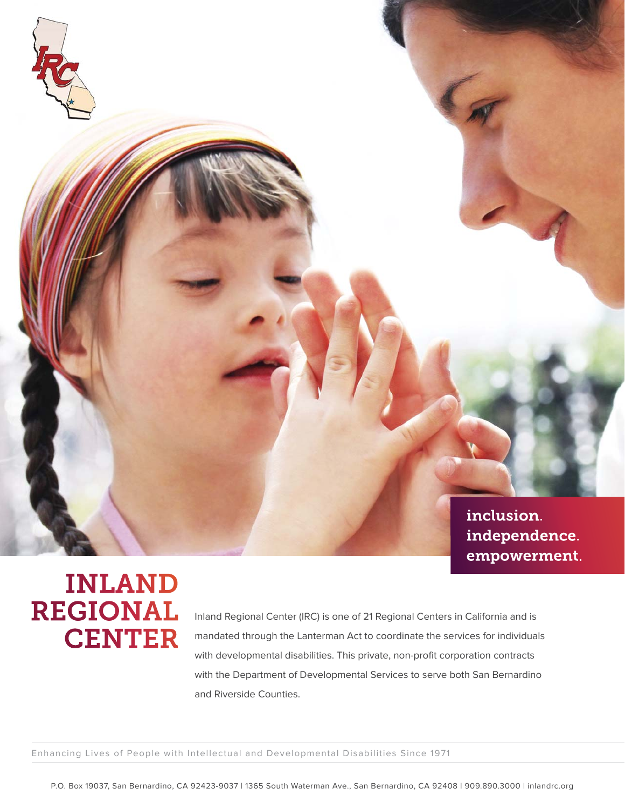

## **INLAND REGIONAL CENTER**

Inland Regional Center (IRC) is one of 21 Regional Centers in California and is mandated through the Lanterman Act to coordinate the services for individuals with developmental disabilities. This private, non-profit corporation contracts with the Department of Developmental Services to serve both San Bernardino and Riverside Counties.

Enhancing Lives of People with Intellectual and Developmental Disabilities Since 1971